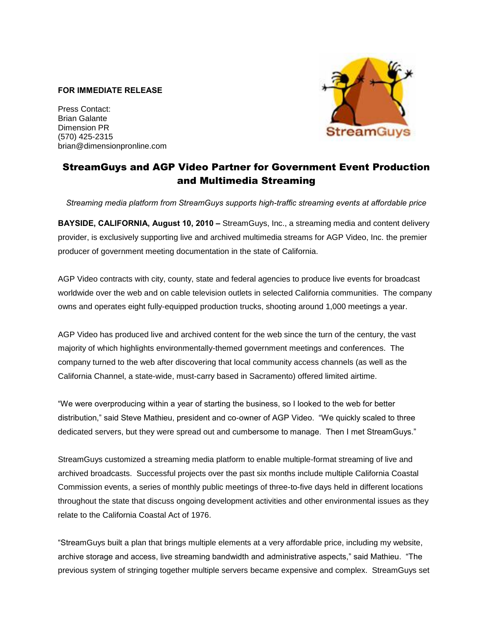## **FOR IMMEDIATE RELEASE**

Press Contact: Brian Galante Dimension PR (570) 425-2315 brian@dimensionpronline.com



## StreamGuys and AGP Video Partner for Government Event Production and Multimedia Streaming

*Streaming media platform from StreamGuys supports high-traffic streaming events at affordable price*

**BAYSIDE, CALIFORNIA, August 10, 2010 –** StreamGuys, Inc., a streaming media and content delivery provider, is exclusively supporting live and archived multimedia streams for AGP Video, Inc. the premier producer of government meeting documentation in the state of California.

AGP Video contracts with city, county, state and federal agencies to produce live events for broadcast worldwide over the web and on cable television outlets in selected California communities. The company owns and operates eight fully-equipped production trucks, shooting around 1,000 meetings a year.

AGP Video has produced live and archived content for the web since the turn of the century, the vast majority of which highlights environmentally-themed government meetings and conferences. The company turned to the web after discovering that local community access channels (as well as the California Channel, a state-wide, must-carry based in Sacramento) offered limited airtime.

"We were overproducing within a year of starting the business, so I looked to the web for better distribution," said Steve Mathieu, president and co-owner of AGP Video. "We quickly scaled to three dedicated servers, but they were spread out and cumbersome to manage. Then I met StreamGuys."

StreamGuys customized a streaming media platform to enable multiple-format streaming of live and archived broadcasts. Successful projects over the past six months include multiple California Coastal Commission events, a series of monthly public meetings of three-to-five days held in different locations throughout the state that discuss ongoing development activities and other environmental issues as they relate to the California Coastal Act of 1976.

"StreamGuys built a plan that brings multiple elements at a very affordable price, including my website, archive storage and access, live streaming bandwidth and administrative aspects," said Mathieu. "The previous system of stringing together multiple servers became expensive and complex. StreamGuys set